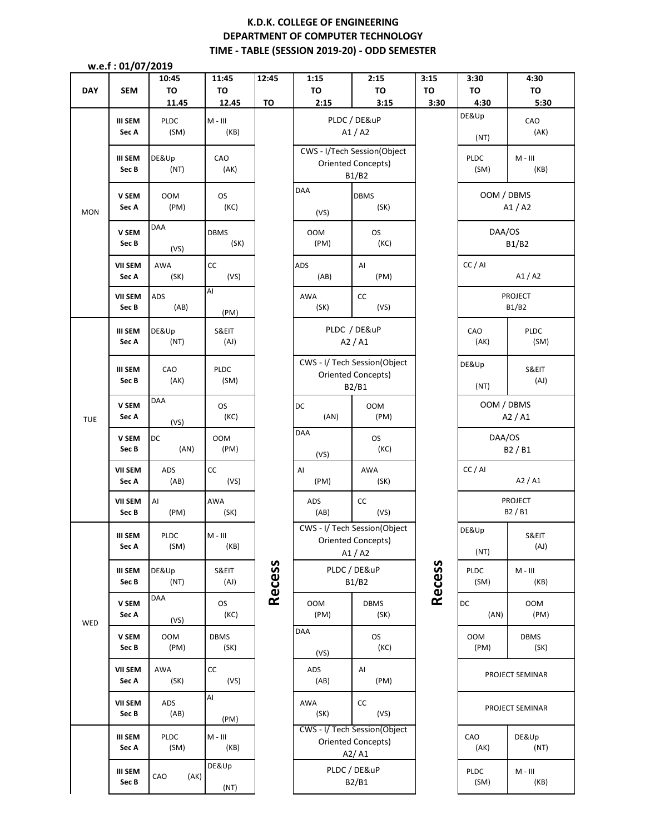# **K.D.K. COLLEGE OF ENGINEERING DEPARTMENT OF COMPUTER TECHNOLOGY TIME - TABLE (SESSION 2019-20) - ODD SEMESTER**

 **w.e.f : 01/07/2019**

|            | . <i>.</i>                                  | ----<br>10:45       | 11:45                              | 12:45         | 1:15         | 2:15                         | 3:15          | 3:30                | 4:30        |
|------------|---------------------------------------------|---------------------|------------------------------------|---------------|--------------|------------------------------|---------------|---------------------|-------------|
| <b>DAY</b> | <b>SEM</b>                                  | <b>TO</b>           | <b>TO</b>                          |               | TO           | TO                           | TO            | <b>TO</b>           | TO          |
|            |                                             | 11.45               | 12.45                              | TO            | 2:15         | 3:15                         | 3:30          | 4:30                | 5:30        |
| <b>MON</b> | III SEM                                     | <b>PLDC</b>         | $M - III$                          |               |              | PLDC / DE&uP                 |               | DE&Up               | CAO         |
|            | Sec A                                       | (SM)                | (KB)                               |               |              | A1/A2                        |               |                     | (AK)        |
|            |                                             |                     |                                    |               |              |                              |               | (NT)                |             |
|            |                                             |                     |                                    |               |              | CWS - I/Tech Session(Object  |               |                     |             |
|            | <b>III SEM</b>                              | DE&Up               | CAO                                |               |              | Oriented Concepts)           |               | PLDC                | $M - III$   |
|            | Sec B                                       | (NT)                | (AK)                               |               |              | B1/B2                        |               | (SM)                | (KB)        |
|            |                                             |                     |                                    |               | DAA          |                              |               |                     |             |
|            | V SEM                                       | <b>OOM</b>          | <b>OS</b>                          |               |              | <b>DBMS</b>                  |               | OOM / DBMS<br>A1/A2 |             |
|            | Sec A                                       | (PM)                | (KC)                               |               | (VS)         | (SK)                         |               |                     |             |
|            |                                             |                     |                                    |               |              |                              |               |                     |             |
|            | V SEM                                       | DAA                 | <b>DBMS</b>                        |               | <b>OOM</b>   | <b>OS</b>                    |               | DAA/OS              |             |
|            | Sec B                                       |                     | (SK)                               |               | (PM)         | (KC)                         |               |                     | B1/B2       |
|            |                                             | (VS)                |                                    |               |              |                              |               |                     |             |
|            | <b>VII SEM</b><br>Sec A                     | <b>AWA</b>          | СC                                 |               | ADS          | AI                           |               | CC / AI             |             |
|            |                                             | (SK)                | (VS)                               |               | (AB)         | (PM)                         |               |                     | A1/A2       |
|            |                                             |                     | Al                                 |               |              |                              |               |                     |             |
|            | <b>VII SEM</b>                              | ADS                 |                                    |               | AWA          | cc                           |               | <b>PROJECT</b>      |             |
|            | Sec B                                       | (AB)                | (PM)                               |               | (SK)         | (VS)                         |               |                     | B1/B2       |
|            |                                             |                     |                                    |               |              |                              |               |                     |             |
|            | <b>III SEM</b><br>Sec A                     | DE&Up               | S&EIT                              |               |              | PLDC / DE&uP                 |               | CAO                 | <b>PLDC</b> |
|            |                                             | (NT)                | (AJ)                               |               |              | A2/AI                        |               | (AK)                | (SM)        |
|            |                                             |                     |                                    |               |              |                              |               |                     |             |
|            | III SEM                                     | CAO                 | <b>PLDC</b><br>(SM)                |               |              | CWS - I/ Tech Session(Object |               | DE&Up               | S&EIT       |
|            | Sec B                                       | (AK)                |                                    |               |              | <b>Oriented Concepts)</b>    |               |                     | (AJ)        |
|            |                                             |                     |                                    |               |              | B2/B1                        |               | (NT)                |             |
|            | V SEM<br>Sec A                              | DAA                 | <b>OS</b>                          |               | DC           | <b>OOM</b>                   | CC / AI       | OOM / DBMS          |             |
|            |                                             |                     | (KC)                               |               | (AN)         | (PM)                         |               |                     | A2/AI       |
| <b>TUE</b> |                                             | (VS)                |                                    |               |              |                              |               |                     |             |
|            | V SEM<br>Sec B                              | DC                  | <b>OOM</b>                         |               | <b>DAA</b>   | <b>OS</b>                    |               | DAA/OS              |             |
|            |                                             | (AN)                | (PM)                               |               |              | (KC)                         |               |                     | B2 / B1     |
|            |                                             |                     |                                    |               | (VS)         |                              |               |                     |             |
|            | <b>VII SEM</b><br>Sec A<br><b>VII SEM</b>   | ADS                 | CC                                 |               | AI           | AWA                          |               |                     |             |
|            |                                             | (AB)                | (VS)                               |               | (PM)         | (SK)                         |               |                     | A2 / A1     |
|            |                                             |                     |                                    |               |              |                              |               |                     | PROJECT     |
|            |                                             | AI                  | AWA                                |               | ADS          | $\mathsf{CC}$                |               |                     | B2 / B1     |
|            | Sec B                                       | (PM)                | (SK)                               |               | (AB)         | (VS)                         |               |                     |             |
|            |                                             |                     |                                    |               |              | CWS - I/ Tech Session(Object |               | DE&Up               |             |
|            | <b>III SEM</b><br>Sec A<br>III SEM<br>Sec B | <b>PLDC</b><br>(SM) | $M - III$<br>(KB)<br>S&EIT<br>(AJ) | <b>Recess</b> |              | <b>Oriented Concepts)</b>    |               |                     | S&EIT       |
|            |                                             | DE&Up<br>(NT)       |                                    |               |              | A1/A2                        |               | (NT)                | (AJ)        |
|            |                                             |                     |                                    |               | PLDC / DE&uP |                              |               | PLDC<br>$M - III$   |             |
|            |                                             |                     |                                    |               | B1/B2        |                              |               |                     |             |
|            |                                             |                     |                                    |               |              |                              | <b>Recess</b> | (SM)                | (KB)        |
|            | V SEM                                       | DAA                 | <b>OS</b>                          |               | <b>OOM</b>   | <b>DBMS</b>                  |               | DC                  | 00M         |
|            | Sec A                                       |                     | (KC)                               |               | (PM)         | (SK)                         |               | (AN)                | (PM)        |
| WED        |                                             | (VS)                |                                    |               |              |                              |               |                     |             |
|            | V SEM                                       | 00M                 | <b>DBMS</b>                        |               | DAA          | <b>OS</b>                    |               | <b>OOM</b>          | <b>DBMS</b> |
|            | Sec B                                       | (PM)                | (SK)                               |               |              | (KC)                         |               | (PM)                | (SK)        |
|            |                                             |                     |                                    |               | (VS)         |                              |               |                     |             |
|            | <b>VII SEM</b>                              | AWA                 | cc                                 |               | ADS          | Al                           |               |                     |             |
|            | Sec A                                       | (SK)                | (VS)                               |               | (AB)         | (PM)                         |               | PROJECT SEMINAR     |             |
|            | <b>VII SEM</b>                              |                     | AI                                 |               |              |                              |               |                     |             |
|            |                                             | ADS                 |                                    |               | AWA          | cc                           |               | PROJECT SEMINAR     |             |
|            | Sec B                                       | (AB)                | (PM)                               |               | (SK)         | (VS)                         |               |                     |             |
|            | III SEM<br>Sec A                            |                     |                                    |               |              | CWS - I/ Tech Session(Object |               |                     |             |
|            |                                             | <b>PLDC</b>         | $M - III$                          |               |              | Oriented Concepts)           |               | CAO                 | DE&Up       |
|            |                                             | (SM)                | (KB)                               |               |              | A2/A1                        |               | (AK)                | (NT)        |
|            |                                             |                     | DE&Up                              |               |              |                              |               |                     |             |
|            | III SEM                                     | CAO<br>(AK)         |                                    |               |              | PLDC / DE&uP                 |               | PLDC                | $M - III$   |
|            | Sec B                                       |                     | (NT)                               |               |              | B2/B1                        |               | (SM)                | (KB)        |
|            |                                             |                     |                                    |               |              |                              |               |                     |             |